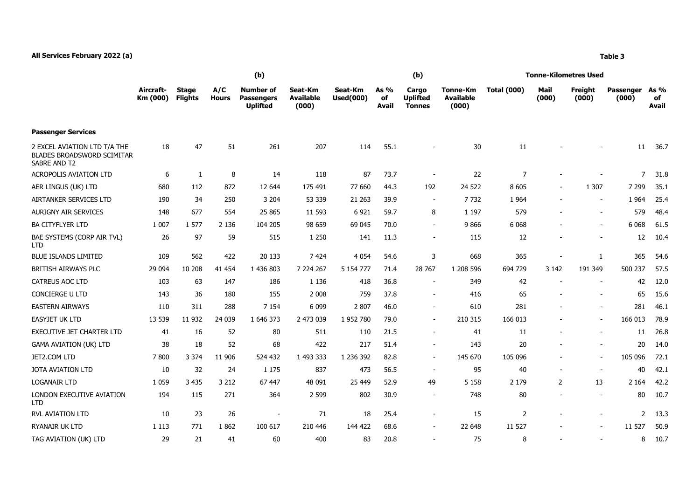## **All Services February 2022 (a) Table 3**

**Passenger Services**

|                       |                         |                     | (b)                                               |                                      |                             |                       | (b)                                       |                                       | Tonne-Kilometres Used |                          |                  |                           |                       |  |
|-----------------------|-------------------------|---------------------|---------------------------------------------------|--------------------------------------|-----------------------------|-----------------------|-------------------------------------------|---------------------------------------|-----------------------|--------------------------|------------------|---------------------------|-----------------------|--|
| Aircraft-<br>Km (000) | Stage<br><b>Flights</b> | A/C<br><b>Hours</b> | <b>Number of</b><br>Passengers<br><b>Uplifted</b> | Seat-Km<br><b>Available</b><br>(000) | Seat-Km<br><b>Used(000)</b> | As $%$<br>of<br>Avail | Cargo<br><b>Uplifted</b><br><b>Tonnes</b> | Tonne-Km<br><b>Available</b><br>(000) | <b>Total (000)</b>    | Mail<br>(000)            | Freight<br>(000) | <b>Passenger</b><br>(000) | As $%$<br>of<br>Avail |  |
| 18                    | 47                      | 51                  | 261                                               | 207                                  | 114                         | 55.1                  | $\overline{\phantom{a}}$                  | 30                                    | 11                    | $\overline{\phantom{a}}$ |                  | 11<br>$\blacksquare$      | 36.7                  |  |

| 2 EXCEL AVIATION LTD T/A THE<br><b>BLADES BROADSWORD SCIMITAR</b><br>SABRE AND T2 | 18      | 47      | 51      | 261       | 207       | 114       | 55.1 |                          | 30        | 11             |                |                          | 11             | 36.7 |
|-----------------------------------------------------------------------------------|---------|---------|---------|-----------|-----------|-----------|------|--------------------------|-----------|----------------|----------------|--------------------------|----------------|------|
| <b>ACROPOLIS AVIATION LTD</b>                                                     | 6       |         | 8       | 14        | 118       | 87        | 73.7 |                          | 22        | $\overline{7}$ |                |                          | $\overline{7}$ | 31.8 |
| AER LINGUS (UK) LTD                                                               | 680     | 112     | 872     | 12 644    | 175 491   | 77 660    | 44.3 | 192                      | 24 522    | 8 6 0 5        |                | 1 3 0 7                  | 7 2 9 9        | 35.1 |
| AIRTANKER SERVICES LTD                                                            | 190     | 34      | 250     | 3 2 0 4   | 53 339    | 21 2 63   | 39.9 | $\sim$                   | 7732      | 1 9 6 4        |                | $\overline{\phantom{a}}$ | 1 9 6 4        | 25.4 |
| <b>AURIGNY AIR SERVICES</b>                                                       | 148     | 677     | 554     | 25 865    | 11 593    | 6921      | 59.7 | 8                        | 1 1 9 7   | 579            |                | $\sim$                   | 579            | 48.4 |
| <b>BA CITYFLYER LTD</b>                                                           | 1 0 0 7 | 1577    | 2 1 3 6 | 104 205   | 98 659    | 69 045    | 70.0 | $\sim$                   | 9866      | 6 0 68         |                | $\overline{\phantom{a}}$ | 6 0 68         | 61.5 |
| BAE SYSTEMS (CORP AIR TVL)<br><b>LTD</b>                                          | 26      | 97      | 59      | 515       | 1 2 5 0   | 141       | 11.3 |                          | 115       | 12             |                |                          | 12             | 10.4 |
| <b>BLUE ISLANDS LIMITED</b>                                                       | 109     | 562     | 422     | 20 133    | 7 4 24    | 4 0 5 4   | 54.6 | 3                        | 668       | 365            |                | 1                        | 365            | 54.6 |
| <b>BRITISH AIRWAYS PLC</b>                                                        | 29 0 94 | 10 208  | 41 454  | 1 436 803 | 7 224 267 | 5 154 777 | 71.4 | 28 767                   | 1 208 596 | 694 729        | 3 1 4 2        | 191 349                  | 500 237        | 57.5 |
| CATREUS AOC LTD                                                                   | 103     | 63      | 147     | 186       | 1 1 3 6   | 418       | 36.8 |                          | 349       | 42             |                |                          | 42             | 12.0 |
| CONCIERGE U LTD                                                                   | 143     | 36      | 180     | 155       | 2 0 0 8   | 759       | 37.8 |                          | 416       | 65             |                |                          | 65             | 15.6 |
| <b>EASTERN AIRWAYS</b>                                                            | 110     | 311     | 288     | 7 1 5 4   | 6 0 9 9   | 2807      | 46.0 | $\sim$                   | 610       | 281            |                |                          | 281            | 46.1 |
| <b>EASYJET UK LTD</b>                                                             | 13 539  | 11 9 32 | 24 039  | 1 646 373 | 2 473 039 | 1952780   | 79.0 | $\sim$                   | 210 315   | 166 013        |                | $\overline{\phantom{a}}$ | 166 013        | 78.9 |
| <b>EXECUTIVE JET CHARTER LTD</b>                                                  | 41      | 16      | 52      | 80        | 511       | 110       | 21.5 | $\overline{\phantom{a}}$ | 41        | 11             |                |                          | 11             | 26.8 |
| <b>GAMA AVIATION (UK) LTD</b>                                                     | 38      | 18      | 52      | 68        | 422       | 217       | 51.4 | $\sim$                   | 143       | 20             |                | $\sim$                   | 20             | 14.0 |
| JET2.COM LTD                                                                      | 7800    | 3 3 7 4 | 11 906  | 524 432   | 1 493 333 | 1 236 392 | 82.8 | $\sim$                   | 145 670   | 105 096        |                |                          | 105 096        | 72.1 |
| <b>JOTA AVIATION LTD</b>                                                          | 10      | 32      | 24      | 1 1 7 5   | 837       | 473       | 56.5 | $\overline{\phantom{a}}$ | 95        | 40             |                |                          | 40             | 42.1 |
| <b>LOGANAIR LTD</b>                                                               | 1 0 5 9 | 3 4 3 5 | 3 2 1 2 | 67 447    | 48 091    | 25 4 49   | 52.9 | 49                       | 5 1 5 8   | 2 1 7 9        | $\overline{2}$ | 13                       | 2 1 6 4        | 42.2 |
| LONDON EXECUTIVE AVIATION<br><b>LTD</b>                                           | 194     | 115     | 271     | 364       | 2 5 9 9   | 802       | 30.9 |                          | 748       | 80             |                |                          | 80             | 10.7 |
| <b>RVL AVIATION LTD</b>                                                           | 10      | 23      | 26      |           | 71        | 18        | 25.4 |                          | 15        | $\overline{2}$ |                |                          | $\overline{2}$ | 13.3 |
| <b>RYANAIR UK LTD</b>                                                             | 1 1 1 3 | 771     | 1862    | 100 617   | 210 446   | 144 422   | 68.6 | $\sim$                   | 22 648    | 11 527         |                | $\sim$                   | 11 527         | 50.9 |
| TAG AVIATION (UK) LTD                                                             | 29      | 21      | 41      | 60        | 400       | 83        | 20.8 |                          | 75        | 8              |                |                          | 8              | 10.7 |